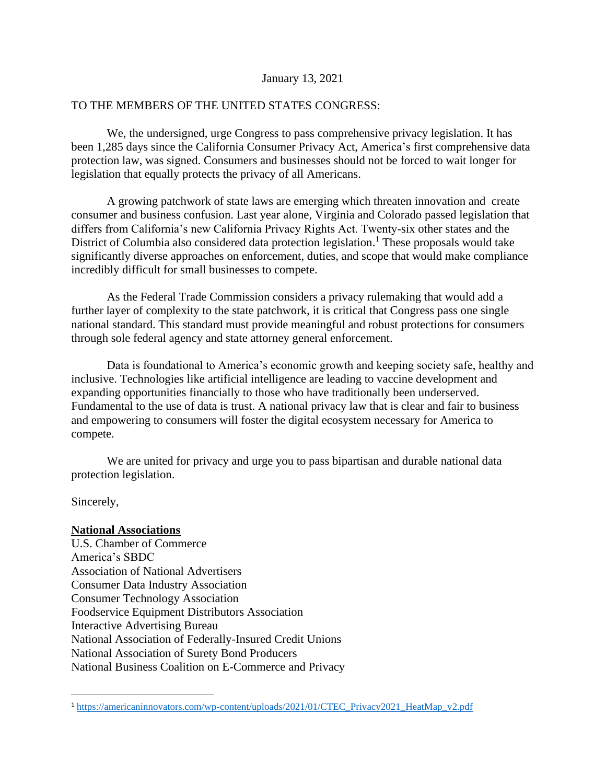#### January 13, 2021

## TO THE MEMBERS OF THE UNITED STATES CONGRESS:

We, the undersigned, urge Congress to pass comprehensive privacy legislation. It has been 1,285 days since the California Consumer Privacy Act, America's first comprehensive data protection law, was signed. Consumers and businesses should not be forced to wait longer for legislation that equally protects the privacy of all Americans.

A growing patchwork of state laws are emerging which threaten innovation and create consumer and business confusion. Last year alone, Virginia and Colorado passed legislation that differs from California's new California Privacy Rights Act. Twenty-six other states and the District of Columbia also considered data protection legislation.<sup>1</sup> These proposals would take significantly diverse approaches on enforcement, duties, and scope that would make compliance incredibly difficult for small businesses to compete.

As the Federal Trade Commission considers a privacy rulemaking that would add a further layer of complexity to the state patchwork, it is critical that Congress pass one single national standard. This standard must provide meaningful and robust protections for consumers through sole federal agency and state attorney general enforcement.

Data is foundational to America's economic growth and keeping society safe, healthy and inclusive. Technologies like artificial intelligence are leading to vaccine development and expanding opportunities financially to those who have traditionally been underserved. Fundamental to the use of data is trust. A national privacy law that is clear and fair to business and empowering to consumers will foster the digital ecosystem necessary for America to compete.

We are united for privacy and urge you to pass bipartisan and durable national data protection legislation.

Sincerely,

## **National Associations**

U.S. Chamber of Commerce America's SBDC Association of National Advertisers Consumer Data Industry Association Consumer Technology Association Foodservice Equipment Distributors Association Interactive Advertising Bureau National Association of Federally-Insured Credit Unions National Association of Surety Bond Producers National Business Coalition on E-Commerce and Privacy

<sup>1</sup> [https://americaninnovators.com/wp-content/uploads/2021/01/CTEC\\_Privacy2021\\_HeatMap\\_v2.pdf](https://americaninnovators.com/wp-content/uploads/2021/01/CTEC_Privacy2021_HeatMap_v2.pdf)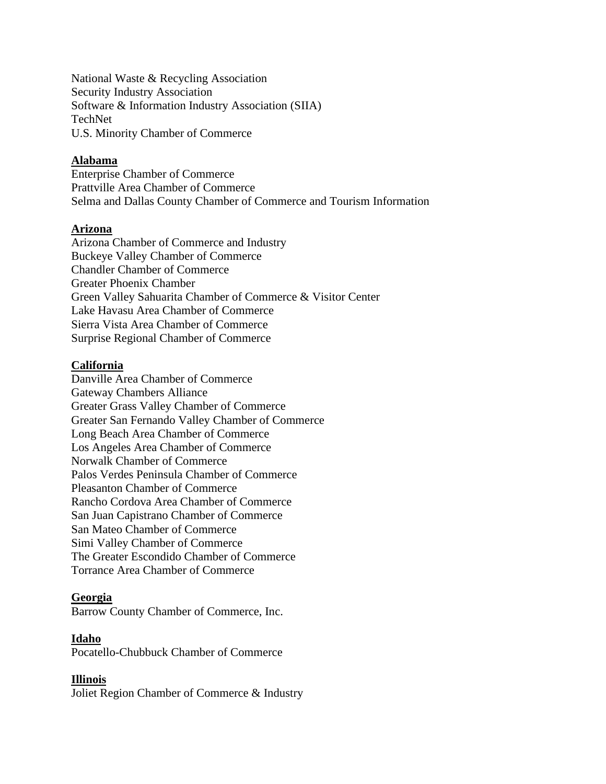National Waste & Recycling Association Security Industry Association Software & Information Industry Association (SIIA) TechNet U.S. Minority Chamber of Commerce

## **Alabama**

Enterprise Chamber of Commerce Prattville Area Chamber of Commerce Selma and Dallas County Chamber of Commerce and Tourism Information

## **Arizona**

Arizona Chamber of Commerce and Industry Buckeye Valley Chamber of Commerce Chandler Chamber of Commerce Greater Phoenix Chamber Green Valley Sahuarita Chamber of Commerce & Visitor Center Lake Havasu Area Chamber of Commerce Sierra Vista Area Chamber of Commerce Surprise Regional Chamber of Commerce

## **California**

Danville Area Chamber of Commerce Gateway Chambers Alliance Greater Grass Valley Chamber of Commerce Greater San Fernando Valley Chamber of Commerce Long Beach Area Chamber of Commerce Los Angeles Area Chamber of Commerce Norwalk Chamber of Commerce Palos Verdes Peninsula Chamber of Commerce Pleasanton Chamber of Commerce Rancho Cordova Area Chamber of Commerce San Juan Capistrano Chamber of Commerce San Mateo Chamber of Commerce Simi Valley Chamber of Commerce The Greater Escondido Chamber of Commerce Torrance Area Chamber of Commerce

## **Georgia**

Barrow County Chamber of Commerce, Inc.

## **Idaho**

Pocatello-Chubbuck Chamber of Commerce

# **Illinois**

Joliet Region Chamber of Commerce & Industry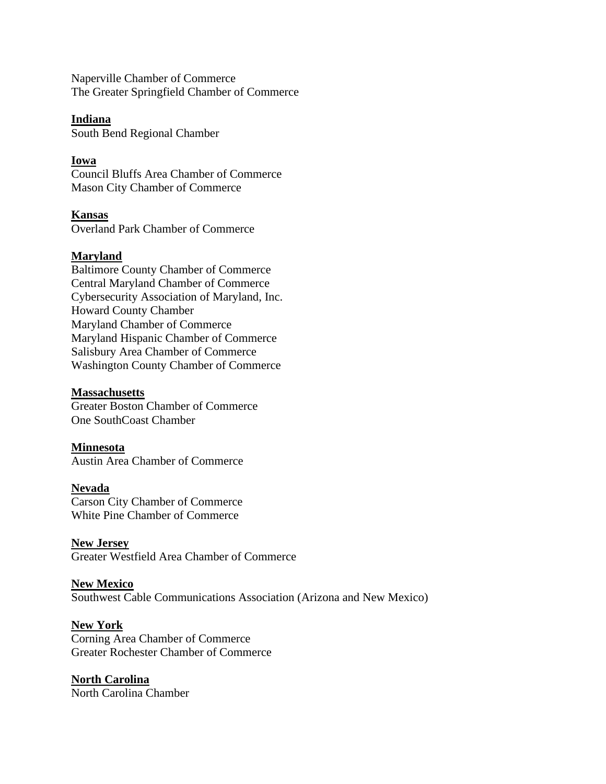Naperville Chamber of Commerce The Greater Springfield Chamber of Commerce

## **Indiana**

South Bend Regional Chamber

# **Iowa**

Council Bluffs Area Chamber of Commerce Mason City Chamber of Commerce

# **Kansas**

Overland Park Chamber of Commerce

# **Maryland**

Baltimore County Chamber of Commerce Central Maryland Chamber of Commerce Cybersecurity Association of Maryland, Inc. Howard County Chamber Maryland Chamber of Commerce Maryland Hispanic Chamber of Commerce Salisbury Area Chamber of Commerce Washington County Chamber of Commerce

# **Massachusetts**

Greater Boston Chamber of Commerce One SouthCoast Chamber

# **Minnesota**

Austin Area Chamber of Commerce

# **Nevada**

Carson City Chamber of Commerce White Pine Chamber of Commerce

# **New Jersey**

Greater Westfield Area Chamber of Commerce

# **New Mexico**

Southwest Cable Communications Association (Arizona and New Mexico)

# **New York**

Corning Area Chamber of Commerce Greater Rochester Chamber of Commerce

## **North Carolina** North Carolina Chamber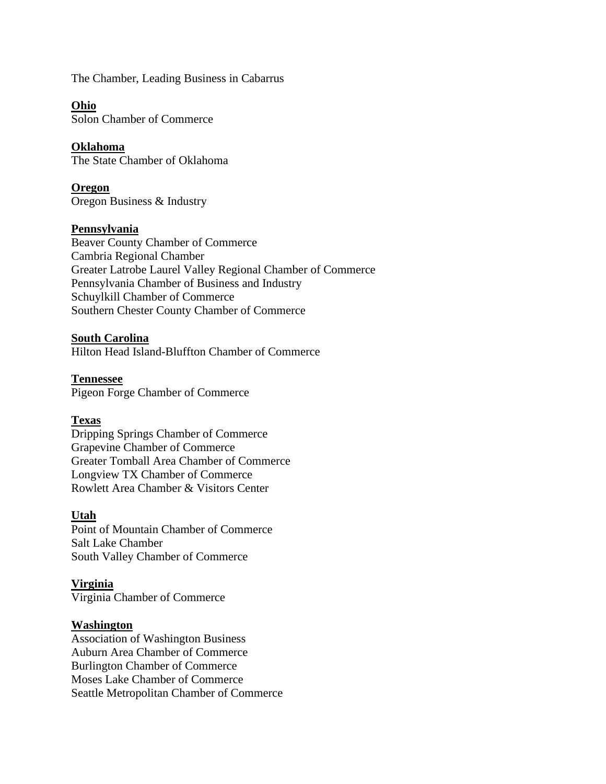The Chamber, Leading Business in Cabarrus

**Ohio** Solon Chamber of Commerce

**Oklahoma** The State Chamber of Oklahoma

**Oregon** Oregon Business & Industry

#### **Pennsylvania**

Beaver County Chamber of Commerce Cambria Regional Chamber Greater Latrobe Laurel Valley Regional Chamber of Commerce Pennsylvania Chamber of Business and Industry Schuylkill Chamber of Commerce Southern Chester County Chamber of Commerce

**South Carolina**

Hilton Head Island-Bluffton Chamber of Commerce

**Tennessee** Pigeon Forge Chamber of Commerce

## **Texas**

Dripping Springs Chamber of Commerce Grapevine Chamber of Commerce Greater Tomball Area Chamber of Commerce Longview TX Chamber of Commerce Rowlett Area Chamber & Visitors Center

#### **Utah**

Point of Mountain Chamber of Commerce Salt Lake Chamber South Valley Chamber of Commerce

#### **Virginia**

Virginia Chamber of Commerce

#### **Washington**

Association of Washington Business Auburn Area Chamber of Commerce Burlington Chamber of Commerce Moses Lake Chamber of Commerce Seattle Metropolitan Chamber of Commerce